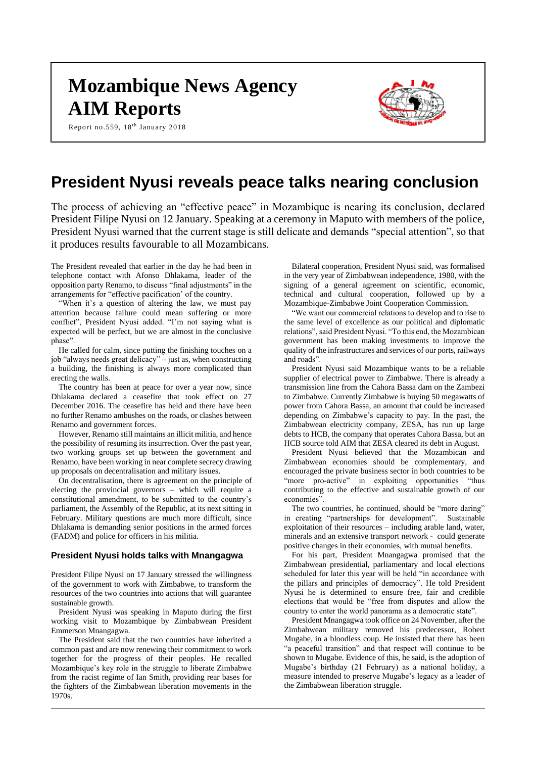# **Mozambique News Agency AIM Reports**

Report no.559,  $18^{th}$  January 2018



# **President Nyusi reveals peace talks nearing conclusion**

The process of achieving an "effective peace" in Mozambique is nearing its conclusion, declared President Filipe Nyusi on 12 January. Speaking at a ceremony in Maputo with members of the police, President Nyusi warned that the current stage is still delicate and demands "special attention", so that it produces results favourable to all Mozambicans.

The President revealed that earlier in the day he had been in telephone contact with Afonso Dhlakama, leader of the opposition party Renamo, to discuss "final adjustments" in the arrangements for "effective pacification' of the country.

"When it's a question of altering the law, we must pay attention because failure could mean suffering or more conflict", President Nyusi added. "I'm not saying what is expected will be perfect, but we are almost in the conclusive phase".

He called for calm, since putting the finishing touches on a job "always needs great delicacy" – just as, when constructing a building, the finishing is always more complicated than erecting the walls.

The country has been at peace for over a year now, since Dhlakama declared a ceasefire that took effect on 27 December 2016. The ceasefire has held and there have been no further Renamo ambushes on the roads, or clashes between Renamo and government forces.

However, Renamo still maintains an illicit militia, and hence the possibility of resuming its insurrection. Over the past year, two working groups set up between the government and Renamo, have been working in near complete secrecy drawing up proposals on decentralisation and military issues.

On decentralisation, there is agreement on the principle of electing the provincial governors – which will require a constitutional amendment, to be submitted to the country's parliament, the Assembly of the Republic, at its next sitting in February. Military questions are much more difficult, since Dhlakama is demanding senior positions in the armed forces (FADM) and police for officers in his militia.

#### **President Nyusi holds talks with Mnangagwa**

President Filipe Nyusi on 17 January stressed the willingness of the government to work with Zimbabwe, to transform the resources of the two countries into actions that will guarantee sustainable growth.

President Nyusi was speaking in Maputo during the first working visit to Mozambique by Zimbabwean President Emmerson Mnangagwa.

The President said that the two countries have inherited a common past and are now renewing their commitment to work together for the progress of their peoples. He recalled Mozambique's key role in the struggle to liberate Zimbabwe from the racist regime of Ian Smith, providing rear bases for the fighters of the Zimbabwean liberation movements in the 1970s.

Bilateral cooperation, President Nyusi said, was formalised in the very year of Zimbabwean independence, 1980, with the signing of a general agreement on scientific, economic, technical and cultural cooperation, followed up by a Mozambique-Zimbabwe Joint Cooperation Commission.

"We want our commercial relations to develop and to rise to the same level of excellence as our political and diplomatic relations", said President Nyusi. "To this end, the Mozambican government has been making investments to improve the quality of the infrastructures and services of our ports, railways and roads".

President Nyusi said Mozambique wants to be a reliable supplier of electrical power to Zimbabwe. There is already a transmission line from the Cahora Bassa dam on the Zambezi to Zimbabwe. Currently Zimbabwe is buying 50 megawatts of power from Cahora Bassa, an amount that could be increased depending on Zimbabwe's capacity to pay. In the past, the Zimbabwean electricity company, ZESA, has run up large debts to HCB, the company that operates Cahora Bassa, but an HCB source told AIM that ZESA cleared its debt in August.

President Nyusi believed that the Mozambican and Zimbabwean economies should be complementary, and encouraged the private business sector in both countries to be "more pro-active" in exploiting opportunities "thus contributing to the effective and sustainable growth of our economies".

The two countries, he continued, should be "more daring" in creating "partnerships for development". Sustainable exploitation of their resources – including arable land, water, minerals and an extensive transport network - could generate positive changes in their economies, with mutual benefits.

For his part, President Mnangagwa promised that the Zimbabwean presidential, parliamentary and local elections scheduled for later this year will be held "in accordance with the pillars and principles of democracy". He told President Nyusi he is determined to ensure free, fair and credible elections that would be "free from disputes and allow the country to enter the world panorama as a democratic state".

President Mnangagwa took office on 24 November, after the Zimbabwean military removed his predecessor, Robert Mugabe, in a bloodless coup. He insisted that there has been "a peaceful transition" and that respect will continue to be shown to Mugabe. Evidence of this, he said, is the adoption of Mugabe's birthday (21 February) as a national holiday, a measure intended to preserve Mugabe's legacy as a leader of the Zimbabwean liberation struggle.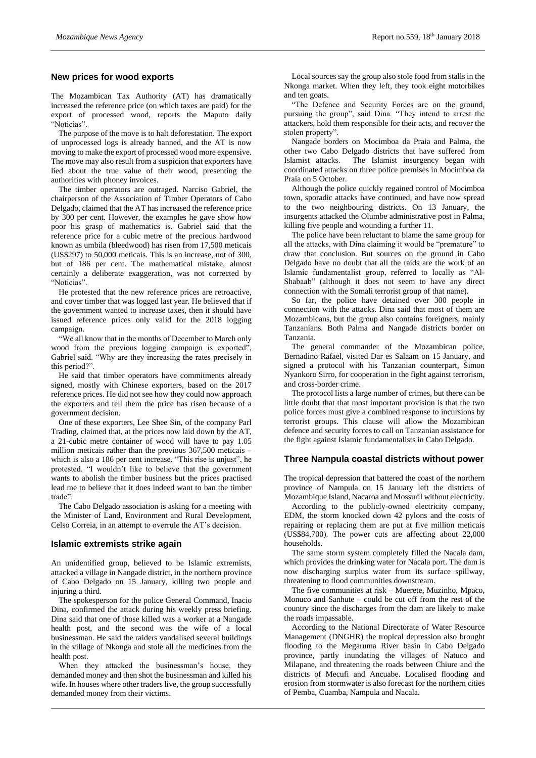#### **New prices for wood exports**

The Mozambican Tax Authority (AT) has dramatically increased the reference price (on which taxes are paid) for the export of processed wood, reports the Maputo daily "Noticias".

The purpose of the move is to halt deforestation. The export of unprocessed logs is already banned, and the AT is now moving to make the export of processed wood more expensive. The move may also result from a suspicion that exporters have lied about the true value of their wood, presenting the authorities with phoney invoices.

The timber operators are outraged. Narciso Gabriel, the chairperson of the Association of Timber Operators of Cabo Delgado, claimed that the AT has increased the reference price by 300 per cent. However, the examples he gave show how poor his grasp of mathematics is. Gabriel said that the reference price for a cubic metre of the precious hardwood known as umbila (bleedwood) has risen from 17,500 meticais (US\$297) to 50,000 meticais. This is an increase, not of 300, but of 186 per cent. The mathematical mistake, almost certainly a deliberate exaggeration, was not corrected by "Noticias".

He protested that the new reference prices are retroactive, and cover timber that was logged last year. He believed that if the government wanted to increase taxes, then it should have issued reference prices only valid for the 2018 logging campaign.

"We all know that in the months of December to March only wood from the previous logging campaign is exported", Gabriel said. "Why are they increasing the rates precisely in this period?".

He said that timber operators have commitments already signed, mostly with Chinese exporters, based on the 2017 reference prices. He did not see how they could now approach the exporters and tell them the price has risen because of a government decision.

One of these exporters, Lee Shee Sin, of the company Parl Trading, claimed that, at the prices now laid down by the AT, a 21-cubic metre container of wood will have to pay 1.05 million meticais rather than the previous 367,500 meticais – which is also a 186 per cent increase. "This rise is unjust", he protested. "I wouldn't like to believe that the government wants to abolish the timber business but the prices practised lead me to believe that it does indeed want to ban the timber trade".

The Cabo Delgado association is asking for a meeting with the Minister of Land, Environment and Rural Development, Celso Correia, in an attempt to overrule the AT's decision.

#### **Islamic extremists strike again**

An unidentified group, believed to be Islamic extremists, attacked a village in Nangade district, in the northern province of Cabo Delgado on 15 January, killing two people and injuring a third.

The spokesperson for the police General Command, Inacio Dina, confirmed the attack during his weekly press briefing. Dina said that one of those killed was a worker at a Nangade health post, and the second was the wife of a local businessman. He said the raiders vandalised several buildings in the village of Nkonga and stole all the medicines from the health post.

When they attacked the businessman's house, they demanded money and then shot the businessman and killed his wife. In houses where other traders live, the group successfully demanded money from their victims.

Local sources say the group also stole food from stalls in the Nkonga market. When they left, they took eight motorbikes and ten goats.

"The Defence and Security Forces are on the ground, pursuing the group", said Dina. "They intend to arrest the attackers, hold them responsible for their acts, and recover the stolen property".

Nangade borders on Mocimboa da Praia and Palma, the other two Cabo Delgado districts that have suffered from Islamist attacks. The Islamist insurgency began with coordinated attacks on three police premises in Mocimboa da Praia on 5 October.

Although the police quickly regained control of Mocimboa town, sporadic attacks have continued, and have now spread to the two neighbouring districts. On 13 January, the insurgents attacked the Olumbe administrative post in Palma, killing five people and wounding a further 11.

The police have been reluctant to blame the same group for all the attacks, with Dina claiming it would be "premature" to draw that conclusion. But sources on the ground in Cabo Delgado have no doubt that all the raids are the work of an Islamic fundamentalist group, referred to locally as "Al-Shabaab" (although it does not seem to have any direct connection with the Somali terrorist group of that name).

So far, the police have detained over 300 people in connection with the attacks. Dina said that most of them are Mozambicans, but the group also contains foreigners, mainly Tanzanians. Both Palma and Nangade districts border on Tanzania.

The general commander of the Mozambican police, Bernadino Rafael, visited Dar es Salaam on 15 January, and signed a protocol with his Tanzanian counterpart, Simon Nyankoro Sirro, for cooperation in the fight against terrorism, and cross-border crime.

The protocol lists a large number of crimes, but there can be little doubt that that most important provision is that the two police forces must give a combined response to incursions by terrorist groups. This clause will allow the Mozambican defence and security forces to call on Tanzanian assistance for the fight against Islamic fundamentalists in Cabo Delgado.

#### **Three Nampula coastal districts without power**

The tropical depression that battered the coast of the northern province of Nampula on 15 January left the districts of Mozambique Island, Nacaroa and Mossuril without electricity.

According to the publicly-owned electricity company, EDM, the storm knocked down 42 pylons and the costs of repairing or replacing them are put at five million meticais (US\$84,700). The power cuts are affecting about 22,000 households.

The same storm system completely filled the Nacala dam, which provides the drinking water for Nacala port. The dam is now discharging surplus water from its surface spillway, threatening to flood communities downstream.

The five communities at risk – Muerete, Muzinho, Mpaco, Monuco and Sanhute – could be cut off from the rest of the country since the discharges from the dam are likely to make the roads impassable.

According to the National Directorate of Water Resource Management (DNGHR) the tropical depression also brought flooding to the Megaruma River basin in Cabo Delgado province, partly inundating the villages of Natuco and Milapane, and threatening the roads between Chiure and the districts of Mecufi and Ancuabe. Localised flooding and erosion from stormwater is also forecast for the northern cities of Pemba, Cuamba, Nampula and Nacala.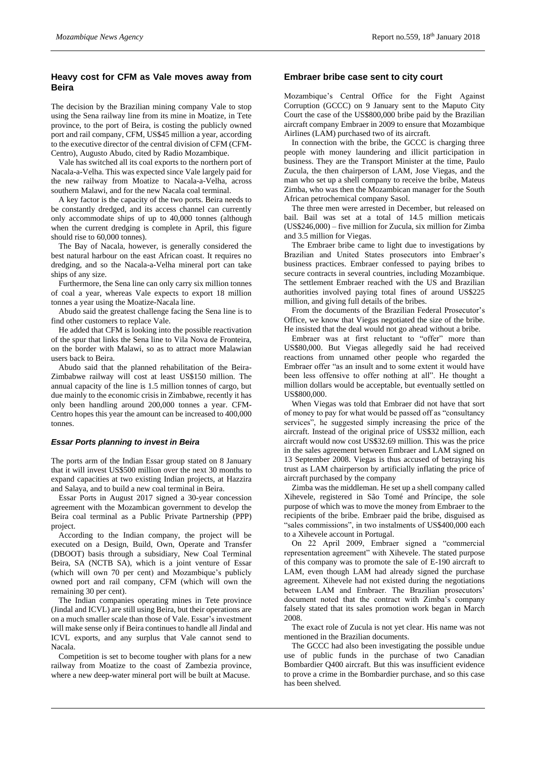# **Heavy cost for CFM as Vale moves away from Beira**

The decision by the Brazilian mining company Vale to stop using the Sena railway line from its mine in Moatize, in Tete province, to the port of Beira, is costing the publicly owned port and rail company, CFM, US\$45 million a year, according to the executive director of the central division of CFM (CFM-Centro), Augusto Abudo, cited by Radio Mozambique.

Vale has switched all its coal exports to the northern port of Nacala-a-Velha. This was expected since Vale largely paid for the new railway from Moatize to Nacala-a-Velha, across southern Malawi, and for the new Nacala coal terminal.

A key factor is the capacity of the two ports. Beira needs to be constantly dredged, and its access channel can currently only accommodate ships of up to 40,000 tonnes (although when the current dredging is complete in April, this figure should rise to 60,000 tonnes).

The Bay of Nacala, however, is generally considered the best natural harbour on the east African coast. It requires no dredging, and so the Nacala-a-Velha mineral port can take ships of any size.

Furthermore, the Sena line can only carry six million tonnes of coal a year, whereas Vale expects to export 18 million tonnes a year using the Moatize-Nacala line.

Abudo said the greatest challenge facing the Sena line is to find other customers to replace Vale.

He added that CFM is looking into the possible reactivation of the spur that links the Sena line to Vila Nova de Fronteira, on the border with Malawi, so as to attract more Malawian users back to Beira.

Abudo said that the planned rehabilitation of the Beira-Zimbabwe railway will cost at least US\$150 million. The annual capacity of the line is 1.5 million tonnes of cargo, but due mainly to the economic crisis in Zimbabwe, recently it has only been handling around 200,000 tonnes a year. CFM-Centro hopes this year the amount can be increased to 400,000 tonnes.

#### *Essar Ports planning to invest in Beira*

The ports arm of the Indian Essar group stated on 8 January that it will invest US\$500 million over the next 30 months to expand capacities at two existing Indian projects, at Hazzira and Salaya, and to build a new coal terminal in Beira.

Essar Ports in August 2017 signed a 30-year concession agreement with the Mozambican government to develop the Beira coal terminal as a Public Private Partnership (PPP) project.

According to the Indian company, the project will be executed on a Design, Build, Own, Operate and Transfer (DBOOT) basis through a subsidiary, New Coal Terminal Beira, SA (NCTB SA), which is a joint venture of Essar (which will own 70 per cent) and Mozambique's publicly owned port and rail company, CFM (which will own the remaining 30 per cent).

The Indian companies operating mines in Tete province (Jindal and ICVL) are still using Beira, but their operations are on a much smaller scale than those of Vale. Essar's investment will make sense only if Beira continues to handle all Jindal and ICVL exports, and any surplus that Vale cannot send to Nacala.

Competition is set to become tougher with plans for a new railway from Moatize to the coast of Zambezia province, where a new deep-water mineral port will be built at Macuse.

#### **Embraer bribe case sent to city court**

Mozambique's Central Office for the Fight Against Corruption (GCCC) on 9 January sent to the Maputo City Court the case of the US\$800,000 bribe paid by the Brazilian aircraft company Embraer in 2009 to ensure that Mozambique Airlines (LAM) purchased two of its aircraft.

In connection with the bribe, the GCCC is charging three people with money laundering and illicit participation in business. They are the Transport Minister at the time, Paulo Zucula, the then chairperson of LAM, Jose Viegas, and the man who set up a shell company to receive the bribe, Mateus Zimba, who was then the Mozambican manager for the South African petrochemical company Sasol.

The three men were arrested in December, but released on bail. Bail was set at a total of 14.5 million meticais (US\$246,000) – five million for Zucula, six million for Zimba and 3.5 million for Viegas.

The Embraer bribe came to light due to investigations by Brazilian and United States prosecutors into Embraer's business practices. Embraer confessed to paying bribes to secure contracts in several countries, including Mozambique. The settlement Embraer reached with the US and Brazilian authorities involved paying total fines of around US\$225 million, and giving full details of the bribes.

From the documents of the Brazilian Federal Prosecutor's Office, we know that Viegas negotiated the size of the bribe. He insisted that the deal would not go ahead without a bribe.

Embraer was at first reluctant to "offer" more than US\$80,000. But Viegas allegedly said he had received reactions from unnamed other people who regarded the Embraer offer "as an insult and to some extent it would have been less offensive to offer nothing at all". He thought a million dollars would be acceptable, but eventually settled on US\$800,000.

When Viegas was told that Embraer did not have that sort of money to pay for what would be passed off as "consultancy services", he suggested simply increasing the price of the aircraft. Instead of the original price of US\$32 million, each aircraft would now cost US\$32.69 million. This was the price in the sales agreement between Embraer and LAM signed on 13 September 2008. Viegas is thus accused of betraying his trust as LAM chairperson by artificially inflating the price of aircraft purchased by the company

Zimba was the middleman. He set up a shell company called Xihevele, registered in São Tomé and Príncipe, the sole purpose of which was to move the money from Embraer to the recipients of the bribe. Embraer paid the bribe, disguised as "sales commissions", in two instalments of US\$400,000 each to a Xihevele account in Portugal.

On 22 April 2009, Embraer signed a "commercial representation agreement" with Xihevele. The stated purpose of this company was to promote the sale of E-190 aircraft to LAM, even though LAM had already signed the purchase agreement. Xihevele had not existed during the negotiations between LAM and Embraer. The Brazilian prosecutors' document noted that the contract with Zimba's company falsely stated that its sales promotion work began in March 2008.

The exact role of Zucula is not yet clear. His name was not mentioned in the Brazilian documents.

The GCCC had also been investigating the possible undue use of public funds in the purchase of two Canadian Bombardier Q400 aircraft. But this was insufficient evidence to prove a crime in the Bombardier purchase, and so this case has been shelved.